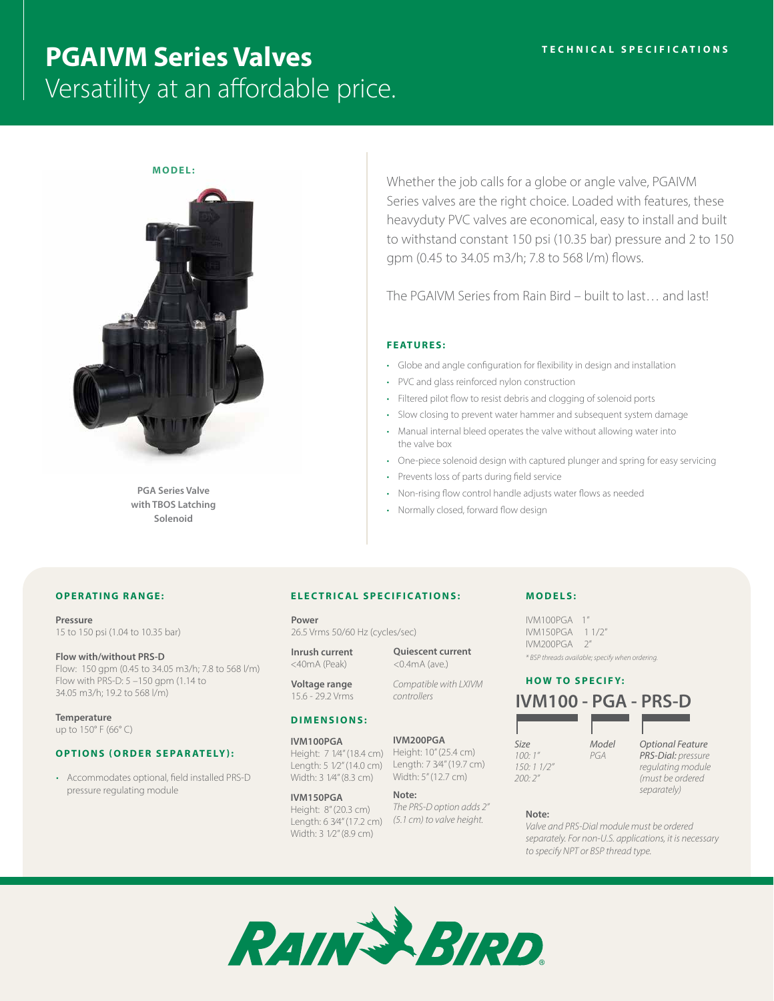# **PGAIVM Series Valves** Versatility at an affordable price.



**PGA Series Valve with TBOS Latching Solenoid**

Whether the job calls for a globe or angle valve, PGAIVM Series valves are the right choice. Loaded with features, these heavyduty PVC valves are economical, easy to install and built to withstand constant 150 psi (10.35 bar) pressure and 2 to 150 gpm (0.45 to 34.05 m3/h; 7.8 to 568 l/m) flows.

The PGAIVM Series from Rain Bird – built to last… and last!

# **FEATURES:**

- Globe and angle configuration for flexibility in design and installation
- PVC and glass reinforced nylon construction
- Filtered pilot flow to resist debris and clogging of solenoid ports
- Slow closing to prevent water hammer and subsequent system damage
- Manual internal bleed operates the valve without allowing water into the valve box
- One-piece solenoid design with captured plunger and spring for easy servicing
- Prevents loss of parts during field service
- Non-rising flow control handle adjusts water flows as needed
- Normally closed, forward flow design

## **OPERATING RANGE:**

**Pressure** 15 to 150 psi (1.04 to 10.35 bar)

**Flow with/without PRS-D** Flow: 150 gpm (0.45 to 34.05 m3/h; 7.8 to 568 l/m) Flow with PRS-D: 5 –150 gpm (1.14 to 34.05 m3/h; 19.2 to 568 l/m)

**Temperature** up to 150° F (66° C)

#### **OPTIONS (ORDER SEPARATELY):**

• Accommodates optional, field installed PRS-D pressure regulating module

## **ELECTRICAL SPECIFICATIONS:**

**Power** 26.5 Vrms 50/60 Hz (cycles/sec)

**Inrush current** <40mA (Peak)

**Voltage range** 15.6 - 29.2 Vrms

## **DIMENSIONS:**

**IVM100PGA** Height: 7 1⁄4" (18.4 cm) Length: 5 1⁄2" (14.0 cm) Width: 3 1⁄4" (8.3 cm)

#### **IVM150PGA** Height: 8" (20.3 cm)

Length: 6 3⁄4" (17.2 cm) *(5.1 cm) to valve height.* Width: 3 1⁄2" (8.9 cm)

**Quiescent current** <0.4mA (ave.)

*Compatible with LXIVM controllers*

#### **IVM200PGA**

Height: 10" (25.4 cm) Length: 7 3⁄4" (19.7 cm) Width: 5" (12.7 cm)

# *separately)* **Note:**

*The PRS-D option adds 2"* 

*Optional Feature PRS-Dial: pressure regulating module (must be ordered* 

## **Note:**

*Valve and PRS-Dial module must be ordered separately. For non-U.S. applications, it is necessary to specify NPT or BSP thread type.*



# **MODELS:** IVM100PGA 1" IVM150PGA 1 1/2"

IVM200PGA 2"

**HOW TO SPECIFY: IVM100 - PGA - PRS-D**

*\* BSP threads available; specify when ordering.*